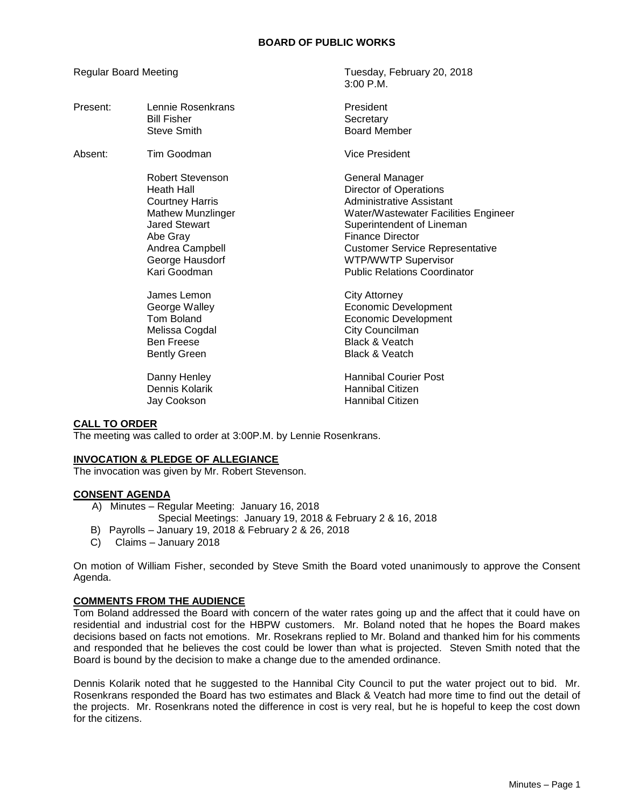3:00 P.M.

Regular Board Meeting Tuesday, February 20, 2018

| Present: | Lennie Rosenkrans<br><b>Bill Fisher</b><br>Steve Smith                                                                                                                                                                              | President<br>Secretary<br><b>Board Member</b>                                                                                                                                                                                                                                                                                                                                            |
|----------|-------------------------------------------------------------------------------------------------------------------------------------------------------------------------------------------------------------------------------------|------------------------------------------------------------------------------------------------------------------------------------------------------------------------------------------------------------------------------------------------------------------------------------------------------------------------------------------------------------------------------------------|
| Absent:  | Tim Goodman                                                                                                                                                                                                                         | Vice President                                                                                                                                                                                                                                                                                                                                                                           |
|          | Robert Stevenson<br><b>Heath Hall</b><br><b>Courtney Harris</b><br><b>Mathew Munzlinger</b><br><b>Jared Stewart</b><br>Abe Gray<br>Andrea Campbell<br>George Hausdorf<br>Kari Goodman<br>James Lemon<br>George Walley<br>Tom Boland | General Manager<br><b>Director of Operations</b><br>Administrative Assistant<br><b>Water/Wastewater Facilities Engineer</b><br>Superintendent of Lineman<br><b>Finance Director</b><br><b>Customer Service Representative</b><br><b>WTP/WWTP Supervisor</b><br><b>Public Relations Coordinator</b><br><b>City Attorney</b><br><b>Economic Development</b><br><b>Economic Development</b> |
|          | Melissa Cogdal<br><b>Ben Freese</b><br><b>Bently Green</b>                                                                                                                                                                          | City Councilman<br><b>Black &amp; Veatch</b><br><b>Black &amp; Veatch</b>                                                                                                                                                                                                                                                                                                                |
|          | Danny Henley<br>Dennis Kolarik<br>Jay Cookson                                                                                                                                                                                       | <b>Hannibal Courier Post</b><br>Hannibal Citizen<br>Hannibal Citizen                                                                                                                                                                                                                                                                                                                     |

## **CALL TO ORDER**

The meeting was called to order at 3:00P.M. by Lennie Rosenkrans.

## **INVOCATION & PLEDGE OF ALLEGIANCE**

The invocation was given by Mr. Robert Stevenson.

## **CONSENT AGENDA**

- A) Minutes Regular Meeting: January 16, 2018 Special Meetings: January 19, 2018 & February 2 & 16, 2018
- B) Payrolls January 19, 2018 & February 2 & 26, 2018
- C) Claims January 2018

On motion of William Fisher, seconded by Steve Smith the Board voted unanimously to approve the Consent Agenda.

# **COMMENTS FROM THE AUDIENCE**

Tom Boland addressed the Board with concern of the water rates going up and the affect that it could have on residential and industrial cost for the HBPW customers. Mr. Boland noted that he hopes the Board makes decisions based on facts not emotions. Mr. Rosekrans replied to Mr. Boland and thanked him for his comments and responded that he believes the cost could be lower than what is projected. Steven Smith noted that the Board is bound by the decision to make a change due to the amended ordinance.

Dennis Kolarik noted that he suggested to the Hannibal City Council to put the water project out to bid. Mr. Rosenkrans responded the Board has two estimates and Black & Veatch had more time to find out the detail of the projects. Mr. Rosenkrans noted the difference in cost is very real, but he is hopeful to keep the cost down for the citizens.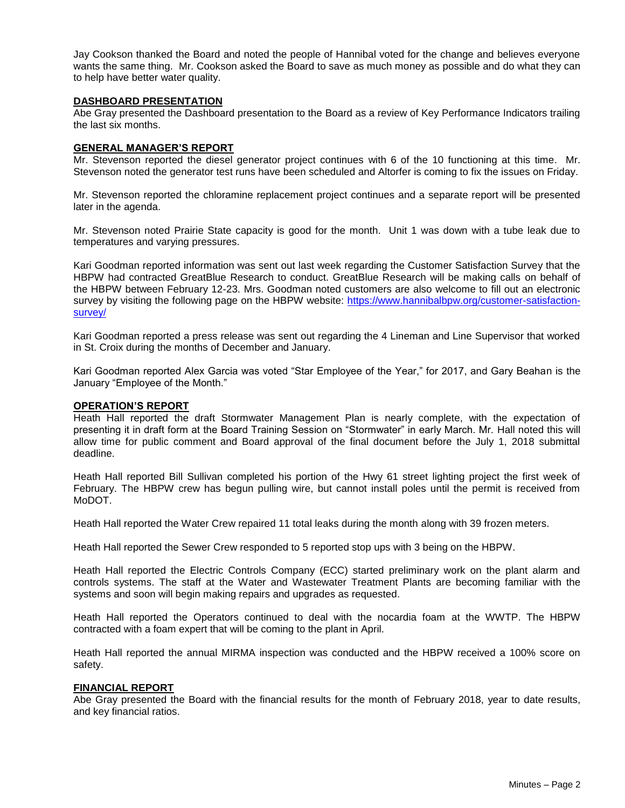Jay Cookson thanked the Board and noted the people of Hannibal voted for the change and believes everyone wants the same thing. Mr. Cookson asked the Board to save as much money as possible and do what they can to help have better water quality.

### **DASHBOARD PRESENTATION**

Abe Gray presented the Dashboard presentation to the Board as a review of Key Performance Indicators trailing the last six months.

### **GENERAL MANAGER'S REPORT**

Mr. Stevenson reported the diesel generator project continues with 6 of the 10 functioning at this time. Mr. Stevenson noted the generator test runs have been scheduled and Altorfer is coming to fix the issues on Friday.

Mr. Stevenson reported the chloramine replacement project continues and a separate report will be presented later in the agenda.

Mr. Stevenson noted Prairie State capacity is good for the month. Unit 1 was down with a tube leak due to temperatures and varying pressures.

Kari Goodman reported information was sent out last week regarding the Customer Satisfaction Survey that the HBPW had contracted GreatBlue Research to conduct. GreatBlue Research will be making calls on behalf of the HBPW between February 12-23. Mrs. Goodman noted customers are also welcome to fill out an electronic survey by visiting the following page on the HBPW website: [https://www.hannibalbpw.org/customer-satisfaction](https://www.hannibalbpw.org/customer-satisfaction-survey/)[survey/](https://www.hannibalbpw.org/customer-satisfaction-survey/) 

Kari Goodman reported a press release was sent out regarding the 4 Lineman and Line Supervisor that worked in St. Croix during the months of December and January.

Kari Goodman reported Alex Garcia was voted "Star Employee of the Year," for 2017, and Gary Beahan is the January "Employee of the Month."

### **OPERATION'S REPORT**

Heath Hall reported the draft Stormwater Management Plan is nearly complete, with the expectation of presenting it in draft form at the Board Training Session on "Stormwater" in early March. Mr. Hall noted this will allow time for public comment and Board approval of the final document before the July 1, 2018 submittal deadline.

Heath Hall reported Bill Sullivan completed his portion of the Hwy 61 street lighting project the first week of February. The HBPW crew has begun pulling wire, but cannot install poles until the permit is received from MoDOT.

Heath Hall reported the Water Crew repaired 11 total leaks during the month along with 39 frozen meters.

Heath Hall reported the Sewer Crew responded to 5 reported stop ups with 3 being on the HBPW.

Heath Hall reported the Electric Controls Company (ECC) started preliminary work on the plant alarm and controls systems. The staff at the Water and Wastewater Treatment Plants are becoming familiar with the systems and soon will begin making repairs and upgrades as requested.

Heath Hall reported the Operators continued to deal with the nocardia foam at the WWTP. The HBPW contracted with a foam expert that will be coming to the plant in April.

Heath Hall reported the annual MIRMA inspection was conducted and the HBPW received a 100% score on safety.

### **FINANCIAL REPORT**

Abe Gray presented the Board with the financial results for the month of February 2018, year to date results, and key financial ratios.